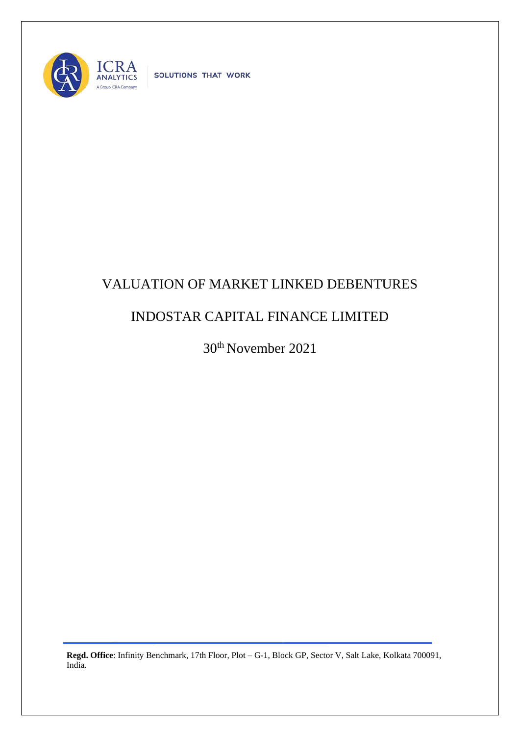

SOLUTIONS THAT WORK

## VALUATION OF MARKET LINKED DEBENTURES

## INDOSTAR CAPITAL FINANCE LIMITED

30th November 2021

**Regd. Office**: Infinity Benchmark, 17th Floor, Plot – G-1, Block GP, Sector V, Salt Lake, Kolkata 700091, India.